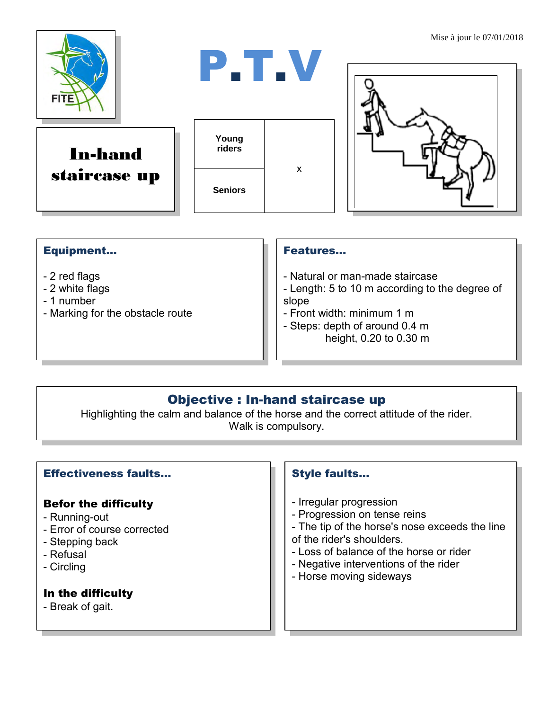

In-hand staircase up





#### Equipment...

- 2 red flags
- 2 white flags
- 1 number
- Marking for the obstacle route

#### Features…

- Natural or man-made staircase
- Length: 5 to 10 m according to the degree of slope
- Front width: minimum 1 m
- Steps: depth of around 0.4 m height, 0.20 to 0.30 m

## Objective : In-hand staircase up

Highlighting the calm and balance of the horse and the correct attitude of the rider. Walk is compulsory.

#### Effectiveness faults…

#### Befor the difficulty

- Running-out
- Error of course corrected
- Stepping back
- Refusal
- Circling

### In the difficulty

- Break of gait.

#### Style faults…

- Irregular progression
- Progression on tense reins
- The tip of the horse's nose exceeds the line of the rider's shoulders.
- Loss of balance of the horse or rider
- Negative interventions of the rider
- Horse moving sideways